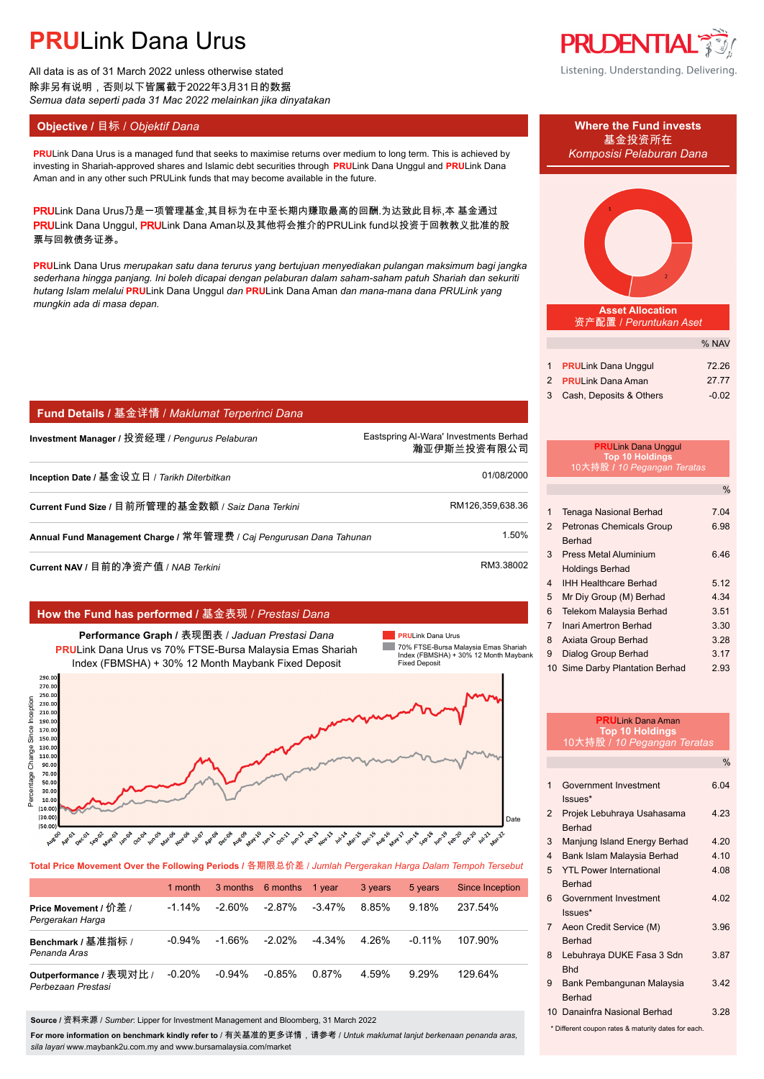All data is as of 31 March 2022 unless otherwise stated 除非另有说明,否则以下皆属截于2022年3月31日的数据 *Semua data seperti pada 31 Mac 2022 melainkan jika dinyatakan*

### **Objective /** 目标 / *Objektif Dana* **Where the Fund invests**

#### **PRU**Link Dana Urus is a managed fund that seeks to maximise returns over medium to long term. This is achieved by *Komposisi Pelaburan Dana* investing in Shariah-approved shares and Islamic debt securities through **PRU**Link Dana Unggul and **PRU**Link Dana Aman and in any other such PRULink funds that may become available in the future.

PRULink Dana Urus乃是一项管理基金,其目标为在中至长期内赚取最高的回酬.为达致此目标,本 基金通过 PRULink Dana Unggul, PRULink Dana Aman以及其他将会推介的PRULink fund以投资于回教教义批准的股 票与回教债务证券。

**PRU**Link Dana Urus *merupakan satu dana terurus yang bertujuan menyediakan pulangan maksimum bagi jangka sederhana hingga panjang. Ini boleh dicapai dengan pelaburan dalam saham-saham patuh Shariah dan sekuriti hutang Islam melalui* **PRU**Link Dana Unggul *dan* **PRU**Link Dana Aman *dan mana-mana dana PRULink yang mungkin ada di masa depan.*

### **Fund Details /** 基金详情 / *Maklumat Terperinci Dana*

**Investment Manager /** 投资经理 / *Pengurus Pelaburan* Eastspring Al-Wara' Investments Berhad.

瀚亚伊斯兰投资有限公司.

| Inception Date / 基金设立日 / Tarikh Diterbitkan                         | 01/08/2000       |
|---------------------------------------------------------------------|------------------|
| Current Fund Size / 目前所管理的基金数额 / Saiz Dana Terkini                  | RM126.359.638.36 |
| Annual Fund Management Charge / 常年管理费 / Caj Pengurusan Dana Tahunan | 1.50%            |
|                                                                     |                  |

**Current NAV /** 目前的净资产值 / *NAB Terkini* RM3.38002

### **How the Fund has performed /** 基金表现 / *Prestasi Dana*

**Performance Graph /** 表现图表 / *Jaduan Prestasi Dana* **PRU**Link Dana Urus vs 70% FTSE-Bursa Malaysia Emas Shariah Index (FBMSHA) + 30% 12 Month Maybank Fixed Deposit

**PRU**Link Dana Urus 70% FTSE-Bursa Malaysia Emas Shariah Index (FBMSHA) + 30% 12 Month Maybank

Fixed Deposit



**Total Price Movement Over the Following Periods /** 各期限总价差 / *Jumlah Pergerakan Harga Dalam Tempoh Tersebut*

|                                               | 1 month   |           | 3 months 6 months | 1 vear    | 3 years | 5 years  | Since Inception |
|-----------------------------------------------|-----------|-----------|-------------------|-----------|---------|----------|-----------------|
| Price Movement / 价差 /<br>Pergerakan Harga     | $-1.14\%$ | -2.60%    | $-2.87%$          | $-3.47\%$ | 8.85%   | $9.18\%$ | 237.54%         |
| Benchmark / 基准指标 /<br>Penanda Aras            | $-0.94\%$ | -1.66%    | $-2.02\%$         | $-4.34\%$ | 4.26%   | $-0.11%$ | 107.90%         |
| Outperformance / 表现对比 /<br>Perbezaan Prestasi | $-0.20%$  | $-0.94\%$ | $-0.85%$          | 0.87%     | 4.59%   | 9.29%    | 129.64%         |

**Source /** 资料来源 / *Sumber*: Lipper for Investment Management and Bloomberg, 31 March 2022

**For more information on benchmark kindly refer to** / 有关基准的更多详情,请参考 / *Untuk maklumat lanjut berkenaan penanda aras, sila layari* www.maybank2u.com.my and www.bursamalaysia.com/market



Listening. Understanding. Delivering.

# 基金投资所在



**Asset Allocation** 资产配置 / *Peruntukan Aset*

|             |                              | % NAV   |
|-------------|------------------------------|---------|
|             | 1 <b>PRULink Dana Unggul</b> | 72.26   |
|             | 2 PRULink Dana Aman          | 27.77   |
| $3^{\circ}$ | Cash, Deposits & Others      | $-0.02$ |

#### **PRU**Link Dana Unggul **Top 10 Holdin** 10大持股 **/** *10 Pegangan Teratas*

|                |                                 | $\%$ |
|----------------|---------------------------------|------|
|                |                                 |      |
| 1              | Tenaga Nasional Berhad          | 7.04 |
| $\mathcal{P}$  | <b>Petronas Chemicals Group</b> | 6.98 |
|                | <b>Berhad</b>                   |      |
| 3              | Press Metal Aluminium           | 6.46 |
|                | <b>Holdings Berhad</b>          |      |
| 4              | <b>IHH Healthcare Berhad</b>    | 5.12 |
| 5              | Mr Div Group (M) Berhad         | 4.34 |
| 6              | Telekom Malaysia Berhad         | 3.51 |
| $\overline{7}$ | Inari Amertron Berhad           | 3.30 |
| 8              | Axiata Group Berhad             | 3.28 |
| 9              | Dialog Group Berhad             | 3.17 |
|                | 10 Sime Darby Plantation Berhad | 2.93 |

| <b>PRULink Dana Aman</b><br><b>Top 10 Holdings</b>  |                                                 |               |  |
|-----------------------------------------------------|-------------------------------------------------|---------------|--|
|                                                     | 10大持股 / 10 Pegangan Teratas                     |               |  |
|                                                     |                                                 | $\frac{0}{0}$ |  |
| 1                                                   | Government Investment<br>Issues*                | 6.04          |  |
| $\overline{2}$                                      | Projek Lebuhraya Usahasama<br><b>Berhad</b>     | 4.23          |  |
| 3                                                   | Manjung Island Energy Berhad                    | 4 2 0         |  |
| $\overline{\mathbf{4}}$                             | Bank Islam Malaysia Berhad                      | 410           |  |
| 5                                                   | <b>YTI Power International</b><br><b>Berhad</b> | 4.08          |  |
| 6                                                   | Government Investment<br>$lssues*$              | 4.02          |  |
| $\overline{7}$                                      | Aeon Credit Service (M)<br><b>Berhad</b>        | 3.96          |  |
| 8                                                   | Lebuhraya DUKE Fasa 3 Sdn<br><b>Bhd</b>         | 3.87          |  |
| 9                                                   | Bank Pembangunan Malaysia<br><b>Berhad</b>      | 342           |  |
|                                                     | 10 Danainfra Nasional Berhad                    | 3 28          |  |
| * Different coupon rates & maturity dates for each. |                                                 |               |  |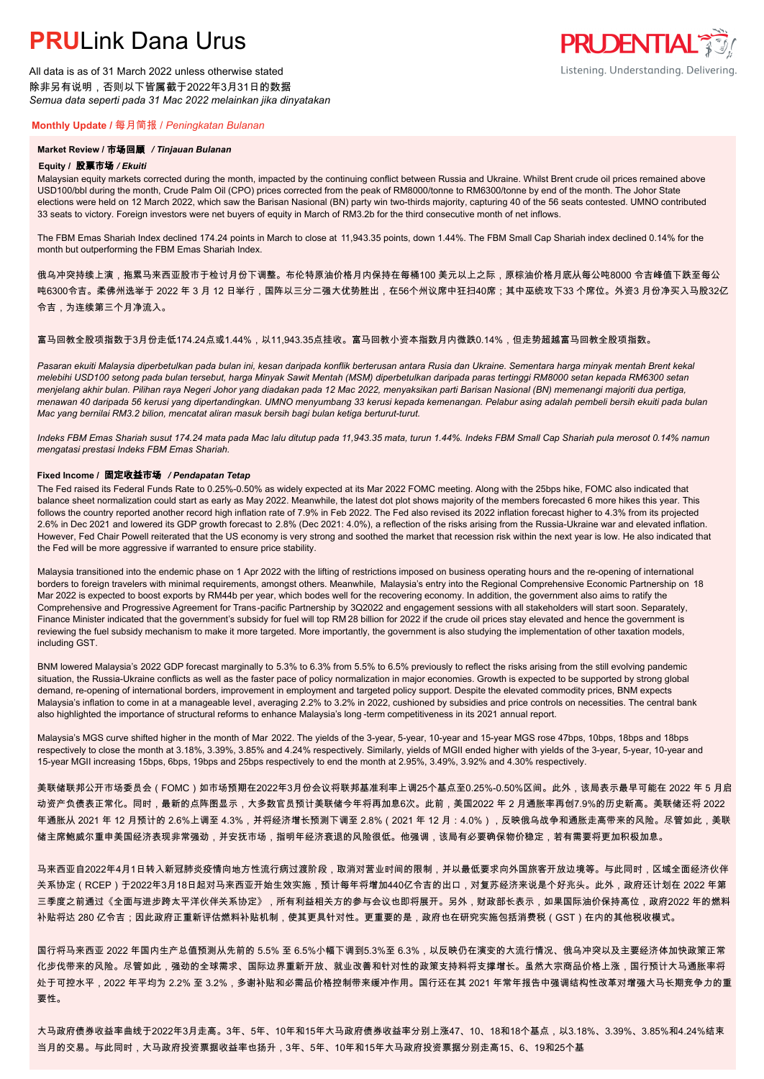All data is as of 31 March 2022 unless otherwise stated 除非另有说明,否则以下皆属截于2022年3月31日的数据 *Semua data seperti pada 31 Mac 2022 melainkan jika dinyatakan*

#### **Monthly Update /** 每月简报 / *Peningkatan Bulanan*

#### **Market Review /** 市场回顾 */ Tinjauan Bulanan*

#### **Equity /** 股票市场 */ Ekuiti.*

Malaysian equity markets corrected during the month, impacted by the continuing conflict between Russia and Ukraine. Whilst Brent crude oil prices remained above USD100/bbl during the month, Crude Palm Oil (CPO) prices corrected from the peak of RM8000/tonne to RM6300/tonne by end of the month. The Johor State elections were held on 12 March 2022, which saw the Barisan Nasional (BN) party win two-thirds majority, capturing 40 of the 56 seats contested. UMNO contributed 33 seats to victory. Foreign investors were net buyers of equity in March of RM3.2b for the third consecutive month of net inflows.

The FBM Emas Shariah Index declined 174.24 points in March to close at 11,943.35 points, down 1.44%. The FBM Small Cap Shariah index declined 0.14% for the month but outperforming the FBM Emas Shariah Index.

俄乌冲突持续上演,拖累马来西亚股市于检讨月份下调整。布伦特原油价格月内保持在每桶100 美元以上之际,原棕油价格月底从每公吨8000 令吉峰值下跌至每公 吨6300令吉。柔佛州选举于 2022 年 3 月 12 日举行,国阵以三分二强大优势胜出,在56个州议席中狂扫40席;其中巫统攻下33 个席位。外资3 月份净买入马股32亿 令吉,为连续第三个月净流入。

#### 富马回教全股项指数于3月份走低174.24点或1.44%,以11,943.35点挂收。富马回教小资本指数月内微跌0.14%,但走势超越富马回教全股项指数。

*Pasaran ekuiti Malaysia diperbetulkan pada bulan ini, kesan daripada konflik berterusan antara Rusia dan Ukraine. Sementara harga minyak mentah Brent kekal melebihi USD100 setong pada bulan tersebut, harga Minyak Sawit Mentah (MSM) diperbetulkan daripada paras tertinggi RM8000 setan kepada RM6300 setan menjelang akhir bulan. Pilihan raya Negeri Johor yang diadakan pada 12 Mac 2022, menyaksikan parti Barisan Nasional (BN) memenangi majoriti dua pertiga, menawan 40 daripada 56 kerusi yang dipertandingkan. UMNO menyumbang 33 kerusi kepada kemenangan. Pelabur asing adalah pembeli bersih ekuiti pada bulan Mac yang bernilai RM3.2 bilion, mencatat aliran masuk bersih bagi bulan ketiga berturut-turut.*

*Indeks FBM Emas Shariah susut 174.24 mata pada Mac lalu ditutup pada 11,943.35 mata, turun 1.44%. Indeks FBM Small Cap Shariah pula merosot 0.14% namun mengatasi prestasi Indeks FBM Emas Shariah.*

#### **Fixed Income /** 固定收益市场 */ Pendapatan Tetap*

*.* The Fed raised its Federal Funds Rate to 0.25%-0.50% as widely expected at its Mar 2022 FOMC meeting. Along with the 25bps hike, FOMC also indicated that balance sheet normalization could start as early as May 2022. Meanwhile, the latest dot plot shows majority of the members forecasted 6 more hikes this year. This follows the country reported another record high inflation rate of 7.9% in Feb 2022. The Fed also revised its 2022 inflation forecast higher to 4.3% from its projected 2.6% in Dec 2021 and lowered its GDP growth forecast to 2.8% (Dec 2021: 4.0%), a reflection of the risks arising from the Russia-Ukraine war and elevated inflation. However, Fed Chair Powell reiterated that the US economy is very strong and soothed the market that recession risk within the next year is low. He also indicated that the Fed will be more aggressive if warranted to ensure price stability.

Malaysia transitioned into the endemic phase on 1 Apr 2022 with the lifting of restrictions imposed on business operating hours and the re-opening of international borders to foreign travelers with minimal requirements, amongst others, Meanwhile, Malaysia's entry into the Regional Comprehensive Economic Partnership on 18 Mar 2022 is expected to boost exports by RM44b per year, which bodes well for the recovering economy. In addition, the government also aims to ratify the Comprehensive and Progressive Agreement for Trans-pacific Partnership by 3Q2022 and engagement sessions with all stakeholders will start soon. Separately, Finance Minister indicated that the government's subsidy for fuel will top RM 28 billion for 2022 if the crude oil prices stay elevated and hence the government is reviewing the fuel subsidy mechanism to make it more targeted. More importantly, the government is also studying the implementation of other taxation models, including GST.

BNM lowered Malaysia's 2022 GDP forecast marginally to 5.3% to 6.3% from 5.5% to 6.5% previously to reflect the risks arising from the still evolving pandemic situation, the Russia-Ukraine conflicts as well as the faster pace of policy normalization in major economies. Growth is expected to be supported by strong global demand, re-opening of international borders, improvement in employment and targeted policy support. Despite the elevated commodity prices, BNM expects Malaysia's inflation to come in at a manageable level, averaging 2.2% to 3.2% in 2022, cushioned by subsidies and price controls on necessities. The central bank also highlighted the importance of structural reforms to enhance Malaysia's long -term competitiveness in its 2021 annual report.

Malaysia's MGS curve shifted higher in the month of Mar 2022. The yields of the 3-year, 5-year, 10-year and 15-year MGS rose 47bps, 10bps, 18bps and 18bps respectively to close the month at 3.18%, 3.39%, 3.85% and 4.24% respectively. Similarly, yields of MGII ended higher with yields of the 3-year, 5-year, 10-year and 15-year MGII increasing 15bps, 6bps, 19bps and 25bps respectively to end the month at 2.95%, 3.49%, 3.92% and 4.30% respectively.

美联储联邦公开市场委员会(FOMC)如市场预期在2022年3月份会议将联邦基准利率上调25个基点至0.25%-0.50%区间。此外,该局表示最早可能在 2022 年 5 月启 动资产负债表正常化。同时,最新的点阵图显示,大多数官员预计美联储今年将再加息6次。此前,美国2022 年 2 月通胀率再创7.9%的历史新高。美联储还将 2022 年通胀从 2021 年 12 月预计的 2.6%上调至 4.3%,并将经济增长预测下调至 2.8%(2021 年 12 月:4.0%),反映俄乌战争和通胀走高带来的风险。尽管如此,美联 储主席鲍威尔重申美国经济表现非常强劲,并安抚市场,指明年经济衰退的风险很低。他强调,该局有必要确保物价稳定,若有需要将更加积极加息。

马来西亚自2022年4月1日转入新冠肺炎疫情向地方性流行病过渡阶段,取消对营业时间的限制,并以最低要求向外国旅客开放边境等。与此同时,区域全面经济伙伴 关系协定(RCEP)于2022年3月18日起对马来西亚开始生效实施,预计每年将增加440亿令吉的出口,对复苏经济来说是个好兆头。此外,政府还计划在 2022 年第 三季度之前通过《全面与进步跨太平洋伙伴关系协定》,所有利益相关方的参与会议也即将展开。另外,财政部长表示,如果国际油价保持高位,政府2022 年的燃料 补贴将达 280 亿令吉;因此政府正重新评估燃料补贴机制,使其更具针对性。更重要的是,政府也在研究实施包括消费税(GST)在内的其他税收模式。

国行将马来西亚 2022 年国内生产总值预测从先前的 5.5% 至 6.5%小幅下调到5.3%至 6.3%,以反映仍在演变的大流行情况、俄乌冲突以及主要经济体加快政策正常 化步伐带来的风险。尽管如此,强劲的全球需求、国际边界重新开放、就业改善和针对性的政策支持料将支撑增长。虽然大宗商品价格上涨,国行预计大马通胀率将 处于可控水平,2022 年平均为 2.2% 至 3.2%,多谢补贴和必需品价格控制带来缓冲作用。国行还在其 2021 年常年报告中强调结构性改革对增强大马长期竞争力的重 要性。

大马政府债券收益率曲线于2022年3月走高。3年、5年、10年和15年大马政府债券收益率分别上涨47、10、18和18个基点,以3.18%、3.39%、3.85%和4.24%结束 当月的交易。与此同时,大马政府投资票据收益率也扬升,3年、5年、10年和15年大马政府投资票据分别走高15、6、19和25个基

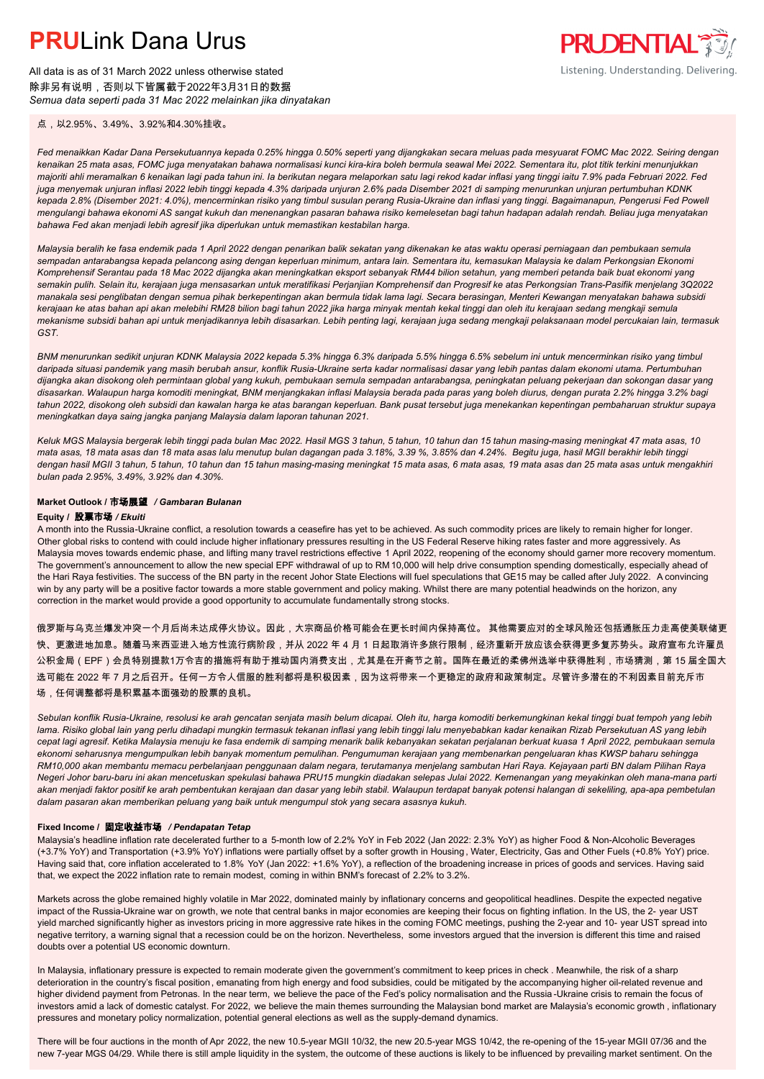All data is as of 31 March 2022 unless otherwise stated 除非另有说明,否则以下皆属截于2022年3月31日的数据 *Semua data seperti pada 31 Mac 2022 melainkan jika dinyatakan*

点,以2.95%、3.49%、3.92%和4.30%挂收。

*Fed menaikkan Kadar Dana Persekutuannya kepada 0.25% hingga 0.50% seperti yang dijangkakan secara meluas pada mesyuarat FOMC Mac 2022. Seiring dengan kenaikan 25 mata asas, FOMC juga menyatakan bahawa normalisasi kunci kira-kira boleh bermula seawal Mei 2022. Sementara itu, plot titik terkini menunjukkan majoriti ahli meramalkan 6 kenaikan lagi pada tahun ini. Ia berikutan negara melaporkan satu lagi rekod kadar inflasi yang tinggi iaitu 7.9% pada Februari 2022. Fed juga menyemak unjuran inflasi 2022 lebih tinggi kepada 4.3% daripada unjuran 2.6% pada Disember 2021 di samping menurunkan unjuran pertumbuhan KDNK kepada 2.8% (Disember 2021: 4.0%), mencerminkan risiko yang timbul susulan perang Rusia-Ukraine dan inflasi yang tinggi. Bagaimanapun, Pengerusi Fed Powell mengulangi bahawa ekonomi AS sangat kukuh dan menenangkan pasaran bahawa risiko kemelesetan bagi tahun hadapan adalah rendah. Beliau juga menyatakan bahawa Fed akan menjadi lebih agresif jika diperlukan untuk memastikan kestabilan harga.*

*Malaysia beralih ke fasa endemik pada 1 April 2022 dengan penarikan balik sekatan yang dikenakan ke atas waktu operasi perniagaan dan pembukaan semula sempadan antarabangsa kepada pelancong asing dengan keperluan minimum, antara lain. Sementara itu, kemasukan Malaysia ke dalam Perkongsian Ekonomi Komprehensif Serantau pada 18 Mac 2022 dijangka akan meningkatkan eksport sebanyak RM44 bilion setahun, yang memberi petanda baik buat ekonomi yang semakin pulih. Selain itu, kerajaan juga mensasarkan untuk meratifikasi Perjanjian Komprehensif dan Progresif ke atas Perkongsian Trans-Pasifik menjelang 3Q2022 manakala sesi penglibatan dengan semua pihak berkepentingan akan bermula tidak lama lagi. Secara berasingan, Menteri Kewangan menyatakan bahawa subsidi kerajaan ke atas bahan api akan melebihi RM28 bilion bagi tahun 2022 jika harga minyak mentah kekal tinggi dan oleh itu kerajaan sedang mengkaji semula mekanisme subsidi bahan api untuk menjadikannya lebih disasarkan. Lebih penting lagi, kerajaan juga sedang mengkaji pelaksanaan model percukaian lain, termasuk GST.*

*BNM menurunkan sedikit unjuran KDNK Malaysia 2022 kepada 5.3% hingga 6.3% daripada 5.5% hingga 6.5% sebelum ini untuk mencerminkan risiko yang timbul daripada situasi pandemik yang masih berubah ansur, konflik Rusia-Ukraine serta kadar normalisasi dasar yang lebih pantas dalam ekonomi utama. Pertumbuhan dijangka akan disokong oleh permintaan global yang kukuh, pembukaan semula sempadan antarabangsa, peningkatan peluang pekerjaan dan sokongan dasar yang disasarkan. Walaupun harga komoditi meningkat, BNM menjangkakan inflasi Malaysia berada pada paras yang boleh diurus, dengan purata 2.2% hingga 3.2% bagi tahun 2022, disokong oleh subsidi dan kawalan harga ke atas barangan keperluan. Bank pusat tersebut juga menekankan kepentingan pembaharuan struktur supaya meningkatkan daya saing jangka panjang Malaysia dalam laporan tahunan 2021.*

*Keluk MGS Malaysia bergerak lebih tinggi pada bulan Mac 2022. Hasil MGS 3 tahun, 5 tahun, 10 tahun dan 15 tahun masing-masing meningkat 47 mata asas, 10 mata asas, 18 mata asas dan 18 mata asas lalu menutup bulan dagangan pada 3.18%, 3.39 %, 3.85% dan 4.24%. Begitu juga, hasil MGII berakhir lebih tinggi dengan hasil MGII 3 tahun, 5 tahun, 10 tahun dan 15 tahun masing-masing meningkat 15 mata asas, 6 mata asas, 19 mata asas dan 25 mata asas untuk mengakhiri bulan pada 2.95%, 3.49%, 3.92% dan 4.30%.*

### **Market Outlook /** 市场展望 */ Gambaran Bulanan*

#### **Equity /** 股票市场 */ Ekuiti .*

A month into the Russia-Ukraine conflict, a resolution towards a ceasefire has yet to be achieved. As such commodity prices are likely to remain higher for longer. Other global risks to contend with could include higher inflationary pressures resulting in the US Federal Reserve hiking rates faster and more aggressively. As Malaysia moves towards endemic phase, and lifting many travel restrictions effective 1 April 2022, reopening of the economy should garner more recovery momentum. The government's announcement to allow the new special EPF withdrawal of up to RM 10,000 will help drive consumption spending domestically, especially ahead of the Hari Raya festivities. The success of the BN party in the recent Johor State Elections will fuel speculations that GE15 may be called after July 2022. A convincing win by any party will be a positive factor towards a more stable government and policy making. Whilst there are many potential headwinds on the horizon, any correction in the market would provide a good opportunity to accumulate fundamentally strong stocks.

俄罗斯与乌克兰爆发冲突一个月后尚未达成停火协议。因此,大宗商品价格可能会在更长时间内保持高位。 其他需要应对的全球风险还包括通胀压力走高使美联储更 快、更激进地加息。随着马来西亚进入地方性流行病阶段,并从 2022 年 4 月 1 日起取消许多旅行限制,经济重新开放应该会获得更多复苏势头。政府宣布允许雇员 公积金局(EPF)会员特别提款1万令吉的措施将有助于推动国内消费支出,尤其是在开斋节之前。国阵在最近的柔佛州选举中获得胜利,市场猜测,第 15 届全国大 选可能在 2022 年 7 月之后召开。任何一方令人信服的胜利都将是积极因素,因为这将带来一个更稳定的政府和政策制定。尽管许多潜在的不利因素目前充斥市 场,任何调整都将是积累基本面强劲的股票的良机。

*Sebulan konflik Rusia-Ukraine, resolusi ke arah gencatan senjata masih belum dicapai. Oleh itu, harga komoditi berkemungkinan kekal tinggi buat tempoh yang lebih lama. Risiko global lain yang perlu dihadapi mungkin termasuk tekanan inflasi yang lebih tinggi lalu menyebabkan kadar kenaikan Rizab Persekutuan AS yang lebih cepat lagi agresif. Ketika Malaysia menuju ke fasa endemik di samping menarik balik kebanyakan sekatan perjalanan berkuat kuasa 1 April 2022, pembukaan semula ekonomi seharusnya mengumpulkan lebih banyak momentum pemulihan. Pengumuman kerajaan yang membenarkan pengeluaran khas KWSP baharu sehingga RM10,000 akan membantu memacu perbelanjaan penggunaan dalam negara, terutamanya menjelang sambutan Hari Raya. Kejayaan parti BN dalam Pilihan Raya Negeri Johor baru-baru ini akan mencetuskan spekulasi bahawa PRU15 mungkin diadakan selepas Julai 2022. Kemenangan yang meyakinkan oleh mana-mana parti akan menjadi faktor positif ke arah pembentukan kerajaan dan dasar yang lebih stabil. Walaupun terdapat banyak potensi halangan di sekeliling, apa-apa pembetulan dalam pasaran akan memberikan peluang yang baik untuk mengumpul stok yang secara asasnya kukuh.*

#### **Fixed Income /** 固定收益市场 */ Pendapatan Tetap*

Malaysia's headline inflation rate decelerated further to a 5-month low of 2.2% YoY in Feb 2022 (Jan 2022: 2.3% YoY) as higher Food & Non-Alcoholic Beverages (+3.7% YoY) and Transportation (+3.9% YoY) inflations were partially offset by a softer growth in Housing , Water, Electricity, Gas and Other Fuels (+0.8% YoY) price. Having said that, core inflation accelerated to 1.8% YoY (Jan 2022: +1.6% YoY), a reflection of the broadening increase in prices of goods and services. Having said that, we expect the 2022 inflation rate to remain modest, coming in within BNM's forecast of 2.2% to 3.2%.

Markets across the globe remained highly volatile in Mar 2022, dominated mainly by inflationary concerns and geopolitical headlines. Despite the expected negative impact of the Russia-Ukraine war on growth, we note that central banks in major economies are keeping their focus on fighting inflation. In the US, the 2- year UST yield marched significantly higher as investors pricing in more aggressive rate hikes in the coming FOMC meetings, pushing the 2-year and 10- year UST spread into negative territory, a warning signal that a recession could be on the horizon. Nevertheless, some investors argued that the inversion is different this time and raised doubts over a potential US economic downturn.

In Malaysia, inflationary pressure is expected to remain moderate given the government's commitment to keep prices in check . Meanwhile, the risk of a sharp deterioration in the country's fiscal position, emanating from high energy and food subsidies, could be mitigated by the accompanying higher oil-related revenue and higher dividend payment from Petronas. In the near term, we believe the pace of the Fed's policy normalisation and the Russia-Ukraine crisis to remain the focus of investors amid a lack of domestic catalyst. For 2022, we believe the main themes surrounding the Malaysian bond market are Malaysia's economic growth, inflationary pressures and monetary policy normalization, potential general elections as well as the supply-demand dynamics.

There will be four auctions in the month of Apr 2022, the new 10.5-year MGII 10/32, the new 20.5-year MGS 10/42, the re-opening of the 15-year MGII 07/36 and the new 7-year MGS 04/29. While there is still ample liquidity in the system, the outcome of these auctions is likely to be influenced by prevailing market sentiment. On the

**PRUDENTIAL 35** Listening. Understanding. Delivering.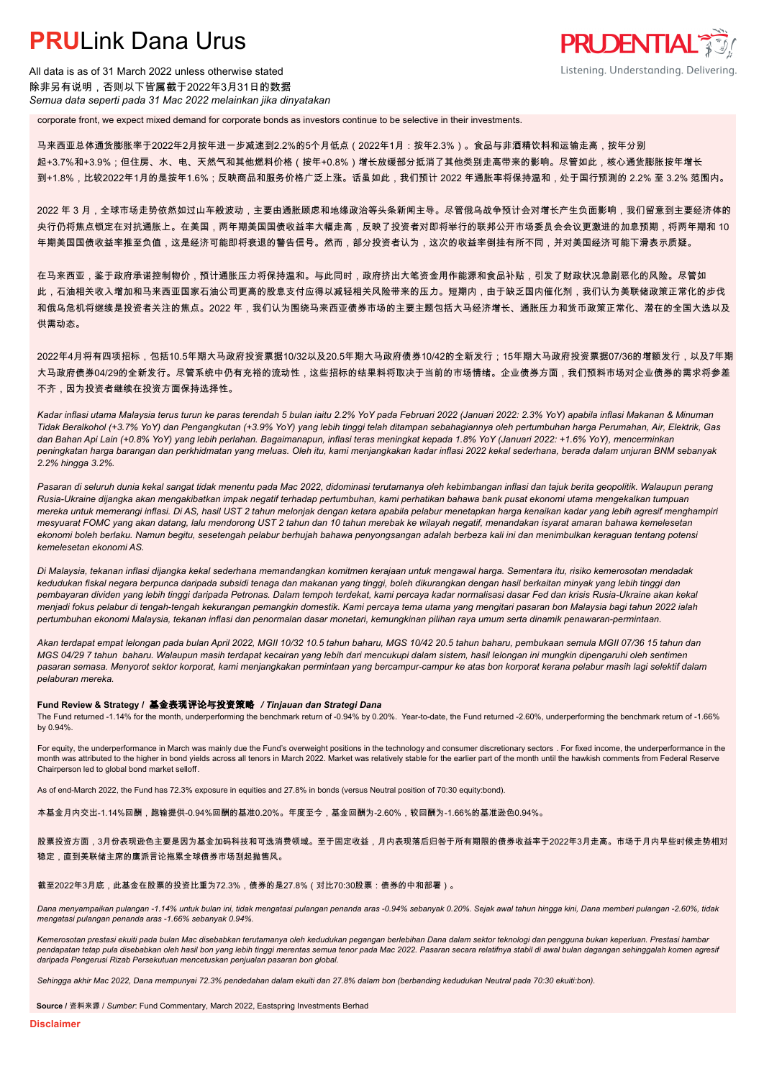All data is as of 31 March 2022 unless otherwise stated 除非另有说明,否则以下皆属截于2022年3月31日的数据 *Semua data seperti pada 31 Mac 2022 melainkan jika dinyatakan*

corporate front, we expect mixed demand for corporate bonds as investors continue to be selective in their investments.

马来西亚总体通货膨胀率于2022年2月按年进一步减速到2.2%的5个月低点(2022年1月:按年2.3%)。食品与非酒精饮料和运输走高,按年分别 起+3.7%和+3.9%;但住房、水、电、天然气和其他燃料价格(按年+0.8%)增长放缓部分抵消了其他类别走高带来的影响。尽管如此,核心通货膨胀按年增长 到+1.8%,比较2022年1月的是按年1.6%;反映商品和服务价格广泛上涨。话虽如此,我们预计 2022 年通胀率将保持温和,处于国行预测的 2.2% 至 3.2% 范围内。

**PRUDENTIAL RESEARCH** 

Listening. Understanding. Delivering.

2022 年 3 月,全球市场走势依然如过山车般波动,主要由通胀顾虑和地缘政治等头条新闻主导。尽管俄乌战争预计会对增长产生负面影响,我们留意到主要经济体的 央行仍将焦点锁定在对抗通胀上。在美国,两年期美国国债收益率大幅走高,反映了投资者对即将举行的联邦公开市场委员会会议更激进的加息预期,将两年期和 10 年期美国国债收益率推至负值,这是经济可能即将衰退的警告信号。然而,部分投资者认为,这次的收益率倒挂有所不同,并对美国经济可能下滑表示质疑。

在马来西亚,鉴于政府承诺控制物价,预计通胀压力将保持温和。与此同时,政府挤出大笔资金用作能源和食品补贴,引发了财政状况急剧恶化的风险。尽管如 此,石油相关收入增加和马来西亚国家石油公司更高的股息支付应得以减轻相关风险带来的压力。短期内,由于缺乏国内催化剂,我们认为美联储政策正常化的步伐 和俄乌危机将继续是投资者关注的焦点。2022 年,我们认为围绕马来西亚债券市场的主要主题包括大马经济增长、通胀压力和货币政策正常化、潜在的全国大选以及 供需动态。

2022年4月将有四项招标,包括10.5年期大马政府投资票据10/32以及20.5年期大马政府债券10/42的全新发行;15年期大马政府投资票据07/36的增额发行,以及7年期 大马政府债券04/29的全新发行。尽管系统中仍有充裕的流动性,这些招标的结果料将取决于当前的市场情绪。企业债券方面,我们预料市场对企业债券的需求将参差 不齐,因为投资者继续在投资方面保持选择性。

*Kadar inflasi utama Malaysia terus turun ke paras terendah 5 bulan iaitu 2.2% YoY pada Februari 2022 (Januari 2022: 2.3% YoY) apabila inflasi Makanan & Minuman Tidak Beralkohol (+3.7% YoY) dan Pengangkutan (+3.9% YoY) yang lebih tinggi telah ditampan sebahagiannya oleh pertumbuhan harga Perumahan, Air, Elektrik, Gas dan Bahan Api Lain (+0.8% YoY) yang lebih perlahan. Bagaimanapun, inflasi teras meningkat kepada 1.8% YoY (Januari 2022: +1.6% YoY), mencerminkan peningkatan harga barangan dan perkhidmatan yang meluas. Oleh itu, kami menjangkakan kadar inflasi 2022 kekal sederhana, berada dalam unjuran BNM sebanyak 2.2% hingga 3.2%.*

*Pasaran di seluruh dunia kekal sangat tidak menentu pada Mac 2022, didominasi terutamanya oleh kebimbangan inflasi dan tajuk berita geopolitik. Walaupun perang Rusia-Ukraine dijangka akan mengakibatkan impak negatif terhadap pertumbuhan, kami perhatikan bahawa bank pusat ekonomi utama mengekalkan tumpuan mereka untuk memerangi inflasi. Di AS, hasil UST 2 tahun melonjak dengan ketara apabila pelabur menetapkan harga kenaikan kadar yang lebih agresif menghampiri mesyuarat FOMC yang akan datang, lalu mendorong UST 2 tahun dan 10 tahun merebak ke wilayah negatif, menandakan isyarat amaran bahawa kemelesetan ekonomi boleh berlaku. Namun begitu, sesetengah pelabur berhujah bahawa penyongsangan adalah berbeza kali ini dan menimbulkan keraguan tentang potensi kemelesetan ekonomi AS.*

*Di Malaysia, tekanan inflasi dijangka kekal sederhana memandangkan komitmen kerajaan untuk mengawal harga. Sementara itu, risiko kemerosotan mendadak kedudukan fiskal negara berpunca daripada subsidi tenaga dan makanan yang tinggi, boleh dikurangkan dengan hasil berkaitan minyak yang lebih tinggi dan pembayaran dividen yang lebih tinggi daripada Petronas. Dalam tempoh terdekat, kami percaya kadar normalisasi dasar Fed dan krisis Rusia-Ukraine akan kekal menjadi fokus pelabur di tengah-tengah kekurangan pemangkin domestik. Kami percaya tema utama yang mengitari pasaran bon Malaysia bagi tahun 2022 ialah pertumbuhan ekonomi Malaysia, tekanan inflasi dan penormalan dasar monetari, kemungkinan pilihan raya umum serta dinamik penawaran-permintaan.*

*Akan terdapat empat lelongan pada bulan April 2022, MGII 10/32 10.5 tahun baharu, MGS 10/42 20.5 tahun baharu, pembukaan semula MGII 07/36 15 tahun dan MGS 04/29 7 tahun baharu. Walaupun masih terdapat kecairan yang lebih dari mencukupi dalam sistem, hasil lelongan ini mungkin dipengaruhi oleh sentimen pasaran semasa. Menyorot sektor korporat, kami menjangkakan permintaan yang bercampur-campur ke atas bon korporat kerana pelabur masih lagi selektif dalam pelaburan mereka.*

#### **Fund Review & Strategy /** 基金表现评论与投资策略 */ Tinjauan dan Strategi Dana*

The Fund returned -1.14% for the month, underperforming the benchmark return of -0.94% by 0.20%. Year-to-date, the Fund returned -2.60%, underperforming the benchmark return of -1.66% *.* by 0.94%.

For equity, the underperformance in March was mainly due the Fund's overweight positions in the technology and consumer discretionary sectors . For fixed income, the underperformance in the month was attributed to the higher in bond yields across all tenors in March 2022. Market was relatively stable for the earlier part of the month until the hawkish comments from Federal Reserve Chairperson led to global bond market selloff.

As of end-March 2022, the Fund has 72.3% exposure in equities and 27.8% in bonds (versus Neutral position of 70:30 equity:bond).

本基金月内交出-1.14%回酬,跑输提供-0.94%回酬的基准0.20%。年度至今,基金回酬为-2.60%,较回酬为-1.66%的基准逊色0.94%。

股票投资方面,3月份表现逊色主要是因为基金加码科技和可选消费领域。至于固定收益,月内表现落后归咎于所有期限的债券收益率于2022年3月走高。市场于月内早些时候走势相对 稳定,直到美联储主席的鹰派言论拖累全球债券市场刮起抛售风。

#### 截至2022年3月底,此基金在股票的投资比重为72.3%,债券的是27.8%(对比70:30股票:债券的中和部署)。

*Dana menyampaikan pulangan -1.14% untuk bulan ini, tidak mengatasi pulangan penanda aras -0.94% sebanyak 0.20%. Sejak awal tahun hingga kini, Dana memberi pulangan -2.60%, tidak mengatasi pulangan penanda aras -1.66% sebanyak 0.94%.*

*Kemerosotan prestasi ekuiti pada bulan Mac disebabkan terutamanya oleh kedudukan pegangan berlebihan Dana dalam sektor teknologi dan pengguna bukan keperluan. Prestasi hambar*  pendapatan tetap pula disebabkan oleh hasil bon yang lebih tinggi merentas semua tenor pada Mac 2022. Pasaran secara relatifnya stabil di awal bulan dagangan sehinggalah komen agresif *daripada Pengerusi Rizab Persekutuan mencetuskan penjualan pasaran bon global.*

*Sehingga akhir Mac 2022, Dana mempunyai 72.3% pendedahan dalam ekuiti dan 27.8% dalam bon (berbanding kedudukan Neutral pada 70:30 ekuiti:bon).*

**Source /** 资料来源 / *Sumber*: Fund Commentary, March 2022, Eastspring Investments Berhad